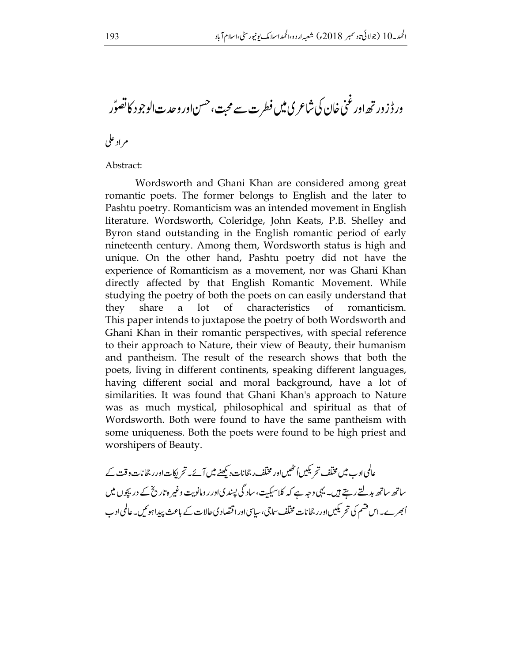ورڈزور تھ اور غنی خان کی شاعری میں فطر ت سے محبت، حسن اور وحدت الوجود کا تصوّر م اد علي

## Abstract:

Wordsworth and Ghani Khan are considered among great romantic poets. The former belongs to English and the later to Pashtu poetry. Romanticism was an intended movement in English literature. Wordsworth, Coleridge, John Keats, P.B. Shelley and Byron stand outstanding in the English romantic period of early nineteenth century. Among them, Wordsworth status is high and unique. On the other hand, Pashtu poetry did not have the experience of Romanticism as a movement, nor was Ghani Khan directly affected by that English Romantic Movement. While studying the poetry of both the poets on can easily understand that they share a lot of characteristics of romanticism. This paper intends to juxtapose the poetry of both Wordsworth and Ghani Khan in their romantic perspectives, with special reference to their approach to Nature, their view of Beauty, their humanism and pantheism. The result of the research shows that both the poets, living in different continents, speaking different languages, having different social and moral background, have a lot of similarities. It was found that Ghani Khan's approach to Nature was as much mystical, philosophical and spiritual as that of Wordsworth. Both were found to have the same pantheism with some uniqueness. Both the poets were found to be high priest and worshipers of Beauty.

عالمی ادب میں مختلف تحریکیں اُنٹھیں اور مختلف رجحانات دیکھنے میں آئے۔ تحریکات اور رجحانات وقت کے ساتھ ساتھ بدلتے رہتے ہیں۔ یہی وجہ ہے کہ کلاسیکیت، ساد گی پسندیاور رومانویت وغیر ہ تاریخ کے در پچوں میں اُبھر ے۔اس قسم کی تحریکیںاور رجحانات مختلف ساجی،ساسیاورا قتصاد کی حالات کے باعث پیداہوئیں۔عالمی ادب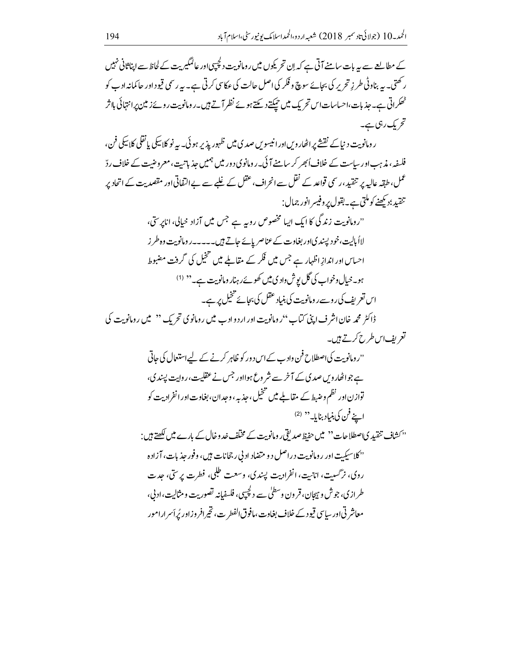کے مطالعے سے بیہ بات سامنے آتی ہے کہ اِن تحر یکوں میں رومانویت دلچپیںاور عالمگیریت کے لحاظ سے ایناثانی نہیں ر کھتی۔ یہ بناوٹی طر زِ تحریر کی بجائے سوچ و فکر کی اصل حالت کی عکاسی کرتی ہے۔ یہ رسمی قیود اور حاکمانہ ادب کو ٹھکراتی ہے۔جذبات،احساسات اس تحریک میں حیکتے دیکتے ہوئے نظر آتے ہیں۔رومانویت روئے زمین پرانتہائی بااثر تحریک رہی ہے۔

ر ومانویت د نپاکے نقشے پر اٹھار ویں اور انیسویں صدی میں ظہور یذیر ہو ئی۔ یہ نو کلاسکی یا نقلی کلاسکی فن، فلسفہ، مذہب اور ساست کے خلاف اُبھر کر سامنے آئی۔ رومانوی دور میں ہمیں حذیاتیت، معروضیت کے خلاف ردّ عمل، طبقہ عالیہ پر تنقید، رسمی قواعد کے نقل سے انحراف، عقل کے غلبے سے بے التفاتی اور مقصدیت کے اتحاد پر تنقيد؛ديھنے کوملتی ہے۔بقول پر وفيسر انور جمال:

"رومانویت زندگی کا ایک ایپا مخصوص روبہ ہے جس میں آزاد خیالی، اناپرستی، لااُ پالیت،خود پسند کیاور بغاوت کے عناصر پائے جاتے ہیں۔۔۔۔۔رومانویت وہ طر ز احساس اور اندازِ اظہار ہے جس میں فکر کے مقاملے میں تنخیل کی گرفت مضبوط ہو۔خیال وخواب کی گل یوش وادی میں کھوئے رہنار ومانویت ہے۔ '' (<sup>1)</sup> اس تعریف کی روسے ر ومانویت کی بنیاد عقل کی بجائے خخیل پر ہے۔ ڈاکٹر محمہ خان اشر ف اپنی کیاب ''رومانویت اور اردوادب میں رومانوی تحر یک '' میں رومانویت کی تعریف اس طرح کرتے ہیں۔

> ''رومانویت کی اصطلاح فن وادے کے اس د ور کو ظاہر کرنے کے لیے استعال کی جاتی ہے جواٹھار ویں صدی کے آخر سے شر وع ہوااور جس نے عقلیت،ر واپت پسند ی، ۔<br>توازن اور نظم وضبط کے مقاملے میں تنخیل، جذبہ ، وحدان، بغاوت اور انفرادیت کو اپنے فن کی بنیاد بنایا۔ <sup>دد</sup> <sup>(2)</sup>

''کشاف تنقید کیاصطلاحات'' میں حفیظ صدیقی رومانویت کے مختلف خد وخال کے بارے میں لکھتے ہیں : 'نکلاسیکت اور رومانویت دراصل دو متضاد اد بی رجحانات بی<sub>ک</sub>، وفور حذیات، آزاده روی، نرگست، اناست، انفرادیت پیندی، وسعت طلحی، فطرت برسی، حدت طراز دی، جوش و ہجان، قرون وسطلٰ سے دلچیں، فلسفیانہ تصوریت و مثالت،اد بی، معاشر تی اور ساسی قیود کے خلاف بغاوت،مافوق الفطر ت، تخیرافر وزاور بُراَس ارامور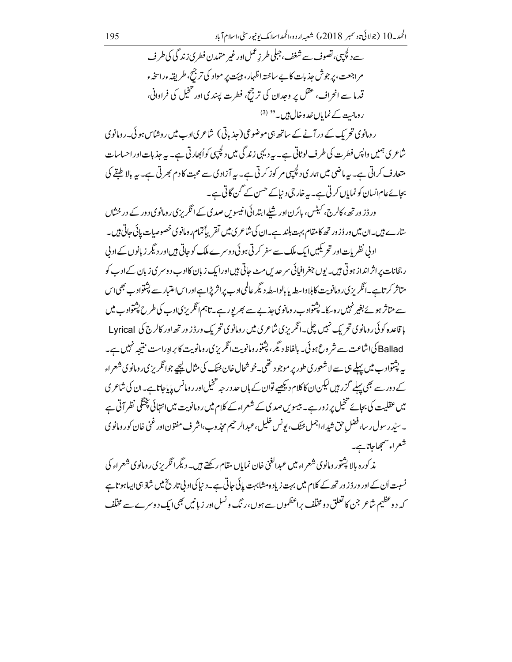سے دلچیہی، تصوف سے شغف، جبلی طر زعمل اور غیر متمد ن فطر ی زند گی کی طر ف م اجعت، پر جوش حذیات کا بے ساختہ اظہار، ہیئت پر مواد کی تر جیج طریقہ ءراسخہء قدما سے انحراف، عقل پر وجدان کی ترجح، فطرت پسندی اور تنخیل کی فراوانی، رومانت کے نمایاں خدوخال ہیں۔ '' (3)

ر ومانوی تحریک کے در آنے کے ساتھ ہی موضوعی ( جذباتی) شاعری ادب میں روشاس ہو ئی۔رومانوی شاعری ہمیں واپس فطرت کی طرف لوٹاتی ہے۔ یہ دیہی زند گی میں دلچیپی کواُبھارتی ہے۔ یہ جذبات اور احساسات متعارف کراتی ہے۔ یہ ماضی میں ہماری دلچپپی مر کوز کرتی ہے۔ یہ آزادی سے محبت کا دم بھرتی ہے۔ یہ بالا طبقے کی بجائے عام انسان کو نمایاں کرتی ہے۔ یہ خارجی د نیاکے حسن کے گن گاتی ہے۔

ورڈ ز ورتھے، کالرج، کیٹس، پائرن اور شلے ابتدائی انیسوس صدی کے انگریزی رومانوی دور کے در ختال ستارے ہیں۔ان میں ور ڈزور تھ کا مقام بہت بلند ہے۔ان کی شاعر ی میں تقریباً تمام رومانوی خصوصیات پائی جاتی ہیں۔ اد بی نظریات اور تحریکیں ایک ملک سے سفر کرتی ہو ئی د وسرے ملک کو حاتی ہیں اور دیگر زبانوں کے اد بی ر جحانات پراثر انداز ہوتی ہیں۔ یوں جغرافیائی سر حدیں مٹ جاتی ہیں اور ایک زبان کاادب دوسر ی زبان کے ادب کو متاثر کرتاہے۔انگریزی رومانویت کابلاواسطہ پابالواسطہ دیگر عالمی ادب پراثریڑاہےاور اساعتبار سے پشتواد ب بھی اس سے متاثر ہوئے بغیر نہیں رہ بیک پشتواد ب ر ومانوی جذبے سے بھر پور ہے۔ تاہم انگریزی ادب کی طرح پشتواد ب میں یا قاعدہ کوئی رومانوی تحریک نہیں چلی۔انگریزی شاعری میں رومانوی تحریک ورڈز ورتھ اور کالرج کی Lyrical Ballad کی اشاعت سے شر وع ہو ئی۔ بالفاظ دیگر، پشتور ومانویت انگریز پی رومانویت کا براہ راست منتیجہ نہیں ہے۔ به پشتوادب میں پہلے ہی سے لاشعور ی طور پر موجود تھی۔خوشحال خان <sub>فٹنگ</sub> کی مثال کیجیے جوائگریز <sub>کی</sub>ں ومانوی شعراء کے دور سے بھی پہلے گزر ہیں لیکن ان کاکلام دیکھیے توان کے ہاں حد درجہ تنخیل اور رومانس پا باجاتا ہے۔ان کی شاعر ی میں عقلیت کی بجائے تخیل پر زور ہے۔ بیسویں صدی کے شعراء کے کلام میں رومانویت میں انتہائی پختگی نظر آتی ہے ۔ سیّد رسول ر سا، فضل حق شیدا،اجمل حیّک، بونس خلیل،عبدالرحیم مجذوب،اشر ف مفتون اور غنی خان کور ومانوی شعراء سمجهاجاتاہے۔

مذ کوره بالا پشتور ومانوی شعراء میں عبدالغنی خان نمایاں مقام رکھتے ہیں۔ دیگر اٹکریزی رومانوی شعراء کی نسبت اُن کے اور ور ڈز ور تھ کے کلام میں بہت زیادہ مشابہت پائی جاتی ہے۔ دنیا کی ادبی تاریخ میں شاذ ہی ایساہو تاہے کہ دوعظیم شاعر جن کا تعلق دو مخلف براعظموں سے ہوں،ر نگ ونسل اور زبانیں بھی ایک دوسرے سے مخلف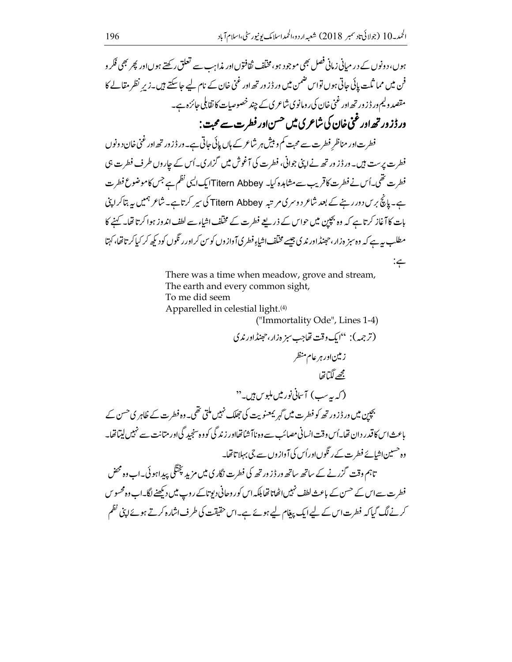ہوں، دونوں کے در مبانی زبانی فصل بھی موجود ہو، مخلّف ثقافتوںاور مذاہب سے تعلق رکھتے ہوںاور پھر بھی فکر و فن میں مما ثلت پائی جاتی ہوں تواس ضمن میں ور ڈز ور تھ اور غنی خان کے نام لیے جا سکتے ہیں۔زیرِ نظر مقالے کا مقصد ولیم ور ڈز ور تھ اور غنی خان کی ر ومانوی شاعری کے چند خصوصیات کا تقابلی جائزہ ہے۔ ور ڈزور تھ اور غنی خان کی شاعر کی میں <sup>حسن</sup> اور فطرت سے محبت :

فطرت اور مناظر فطرت سے محبت کم و بیش ہر شاعر کے ہاں پائی جاتی ہے۔ور ڈزور تھ اور غنی خان دونوں فطرت پرست ہیں۔ ورڈز ورتھ نے اپنی جوانی، فطرت کی آغوش میں گزاری۔اُس کے چاروں طرف فطرت ہی فطرت تھی۔اُس نے فطرت کاقریب سے مشاہدہ کیا۔ Titern Abbeyایک ایک نظم ہے جس کاموضوع فطرت ہے۔ پانچ برس دور رہنے کے بعد شاعر دوسر کی مرتبہ Titern Abbey کی سپر کرتاہے۔ شاعر ہمیں یہ بتاکرا پیْ بات کا آغاز کرتا ہے کہ وہ بچپن میں حواس کے ذریعے فطرت کے مخلّف اشاء سے لطف اندوز ہوا کرتا تھا۔ کہنے کا مطلب بہ ہے کہ وہ سبز ہ زار،حہنڈاور ندی جیسے مخلّف اشاءِ فطر کیآ وازوں کو س کراور ر نگوں کودیکھ کر کیاکر تاتھا، کہتا

> There was a time when meadow, grove and stream, The earth and every common sight, To me did seem Apparelled in celestial light.<sup>(4)</sup>

("Immortality Ode", Lines 1-4)

 $:\subsetneq$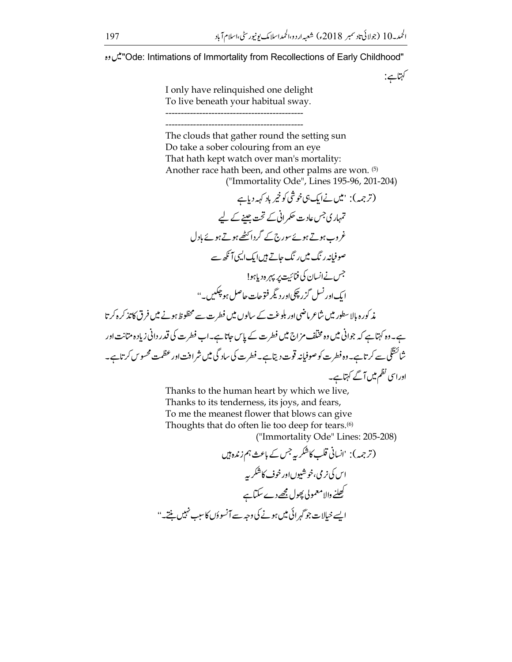کہتاہے:

"Ode: Intimations of Immortality from Recollections of Early Childhood"." ين وه

I only have relinquished one delight To live beneath your habitual sway.

The clouds that gather round the setting sun Do take a sober colouring from an eye That hath kept watch over man's mortality: Another race hath been, and other palms are won. (5) ("Immortality Ode", Lines 195-96, 201-204)

Thanks to the human heart by which we live, Thanks to its tenderness, its joys, and fears, To me the meanest flower that blows can give Thoughts that do often lie too deep for tears.<sup>(6)</sup> ("Immortality Ode" Lines: 205-208)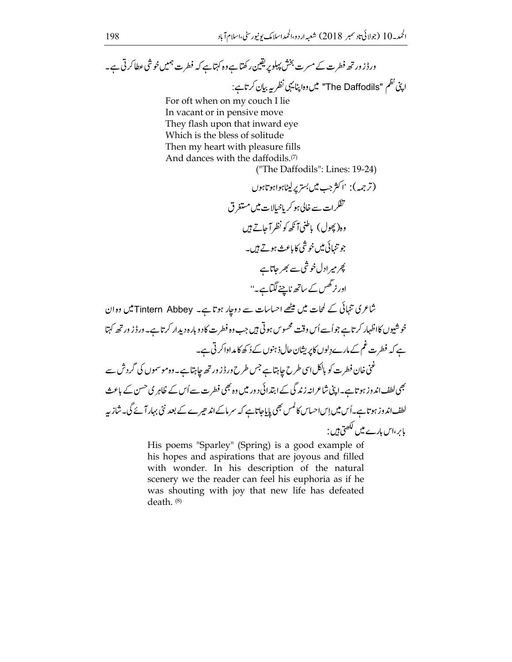For oft when on my couch I lie In vacant or in pensive move They flash upon that inward eye Which is the bless of solitude Then my heart with pleasure fills And dances with the daffodils.<sup>(7)</sup>

شاعری تنہائی کے لمحات میں میٹھے احساسات سے دوجار ہوتا ہے۔ Tintern Abbey میں وہ ان خوشیوں کااظہار کرتاہے جواُسے اُس وقت محسوس ہوتی ہیں جب وہ فطرت کا دوبارہ دیدار کرتاہے۔ ور ڈز ورتھ کہتا ہے کہ فطرت غم کے مارے دِلوں کاپریشان حال ذہنوں کے دُ کھ کا مداواکر ٹی ہے۔ غنی خان فطرت کو بالکل اسی طرح جاہتا ہے جس طرح ور ڈز ور تھ جاہتا ہے۔ وہ موسموں کی گرد ش سے بھی لطف اند وز ہوتاہے۔اپنی شاعرانہ زندگی کے ابتدائی دور میں وہ بھی فطرت سے اُس کے ظاہر کی <sup>حس</sup>ن کے باعث لطف اند وز ہو تاہے۔اُس میں اِس احساس کالمس بھی پایاجاتاہے کہ سرماکے اند حیرے کے بعد نئی بہار آئے گی۔شاز ہہ بإبر ،اس بإرے میں لکھتی ہیں :

> His poems "Sparley" (Spring) is a good example of his hopes and aspirations that are joyous and filled with wonder. In his description of the natural scenery we the reader can feel his euphoria as if he was shouting with joy that new life has defeated death. (8)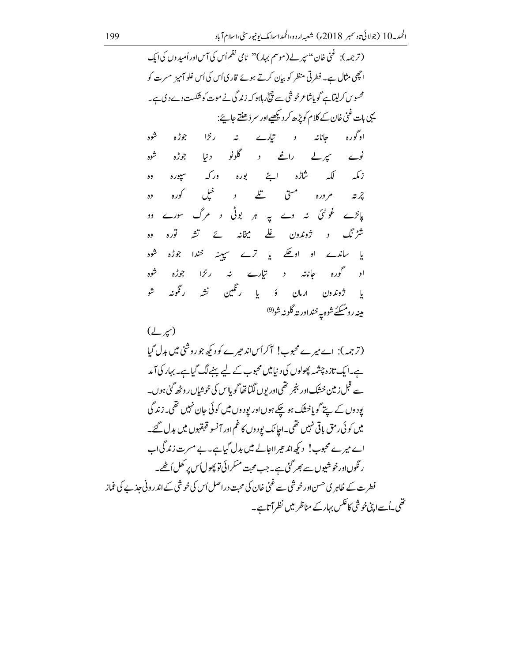$$
(7,7,8)
$$
 
$$
(7,7,8)
$$
 
$$
(7,7,8)
$$
 
$$
(7,7,8)
$$
 
$$
(7,7,8)
$$
 
$$
(7,7,8)
$$
 
$$
(7,7,8)
$$
 
$$
(7,7,8)
$$
 
$$
(7,7,8)
$$
 
$$
(7,7,8)
$$
 
$$
(7,7,8)
$$
 
$$
(7,7,8)
$$
 
$$
(7,7,8)
$$
 
$$
(7,7,8)
$$
 
$$
(7,7,8)
$$
 
$$
(7,7,8)
$$
 
$$
(7,7,8)
$$
 
$$
(7,7,8)
$$
 
$$
(7,7,8)
$$
 
$$
(7,7,8)
$$
 
$$
(7,7,8)
$$
 
$$
(7,7,8)
$$
 
$$
(7,7,8)
$$
 
$$
(7,7,8)
$$
 
$$
(7,7,8)
$$
 
$$
(7,7,8)
$$
 
$$
(7,7,8)
$$
 
$$
(7,7,8)
$$
 
$$
(7,7,8)
$$
 
$$
(7,7,8)
$$
 
$$
(7,7,8)
$$
 
$$
(7,7,8)
$$
 
$$
(7,7,8)
$$
 
$$
(7,7,8)
$$
 
$$
(7,7,8)
$$
 
$$
(7,7,8)
$$
 
$$
(7,7,8)
$$
 
$$
(7,7,8)
$$
 
$$
(7,7,8)
$$
 
$$
(7,7,8)
$$
 
$$
(7,7,8)
$$
 
$$
(7,7,8)
$$
 
$$
(7,7,8)
$$
 
$$
(7,7,8)
$$
 
$$
(7,7,8)
$$
 
$$
(7,7,8)
$$
 
$$
(7,7,8)
$$
 
$$
(7,7,8)
$$
 
$$
(7,7,8)
$$
 
$$
(7,7,8)
$$
 
$$
(7,7,8)
$$
 
$$
(7,7,8)
$$
 
$$
(7,7,8)
$$
 
$$
(7,7,8)
$$
 
$$
(7,
$$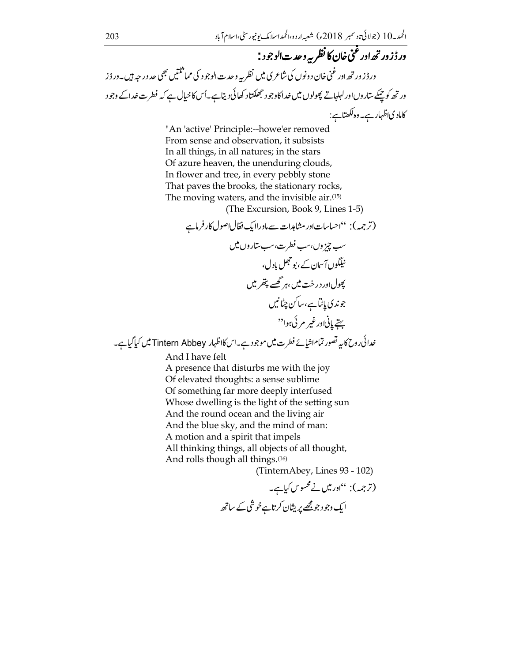ور ڈزور تھ اور غنی خان کا نظر پہ وحد ت الوجود : ور ڈز ور تھ اور غنی خان د ونوں کی شاعر ی میں نظر یہ وحدت الوجود کی مما<sup>شکتی</sup>ں بھی حد درجہ <del>ب</del>یں۔ور ڈز ور تھ کو حیکے ساروںاور لہلہاتے پھولوں میں خداکاوجود حجھکتاد کھائی دیتاہے۔اُس کاخیال ہے کہ فطرت خداکے وجود کاماد کیاظہار ہے۔وہ لکھتاہے:

> "An 'active' Principle:--howe'er removed From sense and observation, it subsists In all things, in all natures; in the stars Of azure heaven, the unenduring clouds, In flower and tree, in every pebbly stone That paves the brooks, the stationary rocks, The moving waters, and the invisible air.<sup>(15)</sup>

(The Excursion, Book 9, Lines 1-5)

(ترجمہ): "احساسات اور مشاہدات سے ماور لایک فعّال اصول کارفرماہے سپ چز وں،سپ فطرت،سپ ستاروں میں نیلگوں آسان کے ،پو حجل بادل، پھول <sub>ا</sub>ور در خت میں ،ہر گھسے پتھر میں جوندي پاڻاہے،ساکن چڻانيں ستے پانی اور غیر مر ئی ہوا<sup>دد</sup>

خدائی روح کا بیہ تصور تمام اشیائے فطرت میں موجود ہے۔اس کااظہار Tintern Abbey میں کیا گیاہے۔

And I have felt

A presence that disturbs me with the joy Of elevated thoughts: a sense sublime Of something far more deeply interfused Whose dwelling is the light of the setting sun And the round ocean and the living air And the blue sky, and the mind of man: A motion and a spirit that impels All thinking things, all objects of all thought, And rolls though all things.<sup>(16)</sup>

(TinternAbey, Lines 93 - 102)

(ترجمہ): "اور میں نے محسوس کیاہے۔ ایک وجو د جو مجھے پریشان کر تاہے خوشی کے ساتھ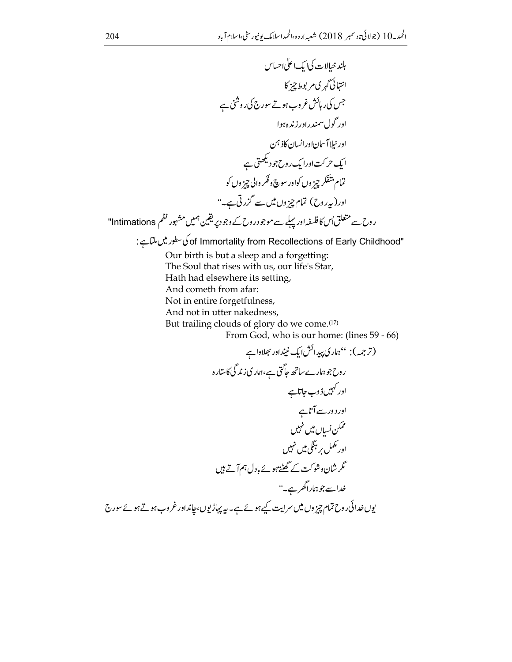"of Immortality from Recollections of Early Childhood" کی سطور میں ملتاہے:

Our birth is but a sleep and a forgetting: The Soul that rises with us, our life's Star, Hath had elsewhere its setting, And cometh from afar: Not in entire forgetfulness, And not in utter nakedness, But trailing clouds of glory do we come.<sup>(17)</sup> From God, who is our home: (lines 59 - 66)

$$
(7, 5, 1)
$$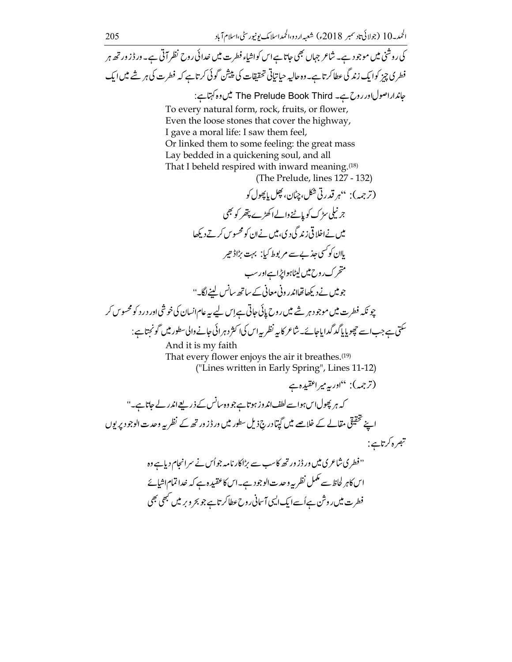کی روشنی میں موجود ہے۔ شاعر جہاں بھی جاتا ہے اس کواشیاء فطرت میں خدائی روح نظر آتی ہے۔ ورڈز ورتھ ہر فطری چیز کوایک زند گی عطاکرتاہے۔ وہ حالیہ حیاتیاتی تحقیقات کی پیش گوئی کرتاہے کہ فطرت کی ہر شے میں ایک جانداراصولادرروح ہے۔ The Prelude Book Third میں وہ کہتاہے: To every natural form, rock, fruits, or flower, Even the loose stones that cover the highway,

I gave a moral life: I saw them feel, Or linked them to some feeling: the great mass Lay bedded in a quickening soul, and all That I beheld respired with inward meaning.<sup>(18)</sup>

(The Prelude, lines 127 - 132)

چونکہ فطرت میں موجود ہر شے میں روح پانی جاتی ہےاس لیے یہ عام انسان کی خوشی اور در د کو محسوس کر سکتی ہے جب اسے چھوپا پاکد گدایاجائے۔شاعر کابیہ نظر بیہاس کیا اکثر دہرائی جانے والی سطور میں گونجتا ہے :

And it is my faith That every flower enjoys the air it breathes.<sup>(19)</sup> ("Lines written in Early Spring", Lines 11-12)

ایں کاہر لحاظ سے مکمل نظر یہ وحدت الوجود ہے۔اس کاعقبیدہ ہے کہ خدائمام اشیائے فطرت میں روشن ہےاُسے ایک ایسی آسانی روح عطاکر تاہے جو بحر و بر میں کبھی بھی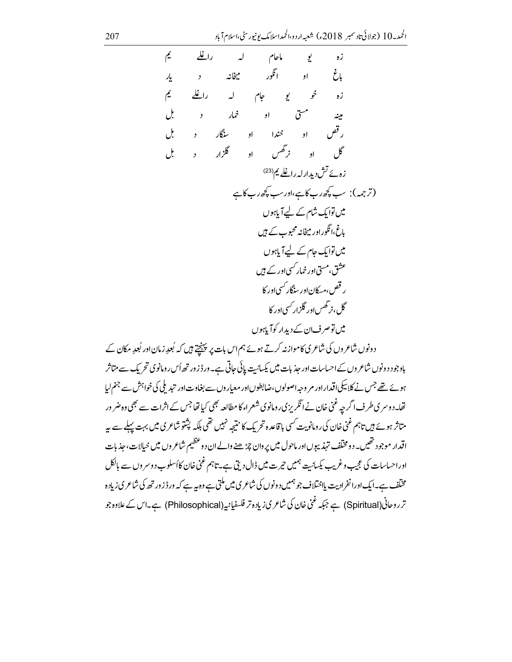تحریک سے متاثر باوجود دو واہش سے جنم لیا ہونے نے تھا۔دوسر کی طرف اگرچہ غنی خان نے انگریز کی رومانوی شعراء کا مطالعہ بھی کیا تھا جس کے اثرات سے بھی وہ ضر ور متاثر ہوئے ہیں تاہم غنی خان کی رومانویت کسی با قاعدہ تحریک کا نتیجہ نہیں تھی بلکہ پشتو شاعری میں بہت پہلے سے پہ اقدار موجود تھیں۔ دومختلف تہذیبوںاور ماحول میں پروان چڑھنے والےان دوعظیم شاعروں میں خیالات، جذبات اوراحساسات کی عجیب وغریب یکسانیت ہمیں حیرت میں ڈال دیتی ہے۔تاہم غنی خان کااُسلوب دوسر وں سے بالکل مخنلف ہے۔ایک اورا نفرادیت پلاختلاف جو ہمیں دونوں کی شاعری میں ملتی ہے وہ بیہ ہے کہ ور ڈز ور تھ کی شاعری زیادہ تر روحانی(Spiritual) ہے جبکہ غنی خان کی شاعر کی زیادہ تر فلسفیانیہ (Philosophical) ہے۔اس کے علاوہ جو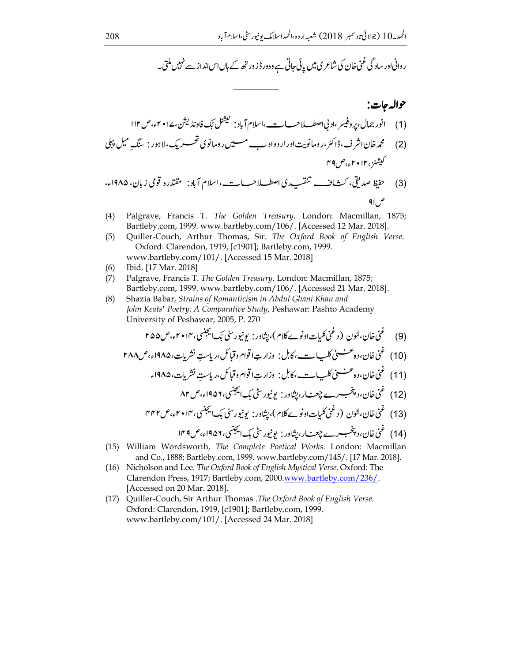ر وانی اور سادگی غنی خان کی شاعر <mark>ی میں پائی جاتی ہے وہ</mark>ور ڈزور تھ کے ہاں اس انداز سے نہیں ملتی۔

$$
\mathsf{q}_{1_{\ell}}\mathcal{L}
$$

- $(4)$ Palgrave, Francis T. The Golden Treasury. London: Macmillan, 1875; Bartleby.com, 1999. www.bartleby.com/106/. [Accessed 12 Mar. 2018].
- Quiller-Couch, Arthur Thomas, Sir. The Oxford Book of English Verse.  $(5)$ Oxford: Clarendon, 1919, [c1901]; Bartleby.com, 1999. www.bartleby.com/101/. [Accessed 15 Mar. 2018]
- Ibid. [17 Mar. 2018]  $(6)$
- $(7)$ Palgrave, Francis T. The Golden Treasury. London: Macmillan, 1875; Bartleby.com, 1999. www.bartleby.com/106/. [Accessed 21 Mar. 2018].
- Shazia Babar, Strains of Romanticism in Abdul Ghani Khan and  $(8)$ John Keats' Poetry: A Comparative Study, Peshawar: Pashto Academy University of Peshawar, 2005, P. 270

- (15) William Wordsworth, The Complete Poetical Works. London: Macmillan and Co., 1888; Bartleby.com, 1999. www.bartleby.com/145/. [17 Mar. 2018].
- (16) Nicholson and Lee. The Oxford Book of English Mystical Verse. Oxford: The Clarendon Press, 1917; Bartleby.com, 2000.www.bartleby.com/236/. [Accessed on 20 Mar. 2018].
- (17) Quiller-Couch, Sir Arthur Thomas .The Oxford Book of English Verse. Oxford: Clarendon, 1919, [c1901]; Bartleby.com, 1999. www.bartleby.com/101/. [Accessed 24 Mar. 2018]